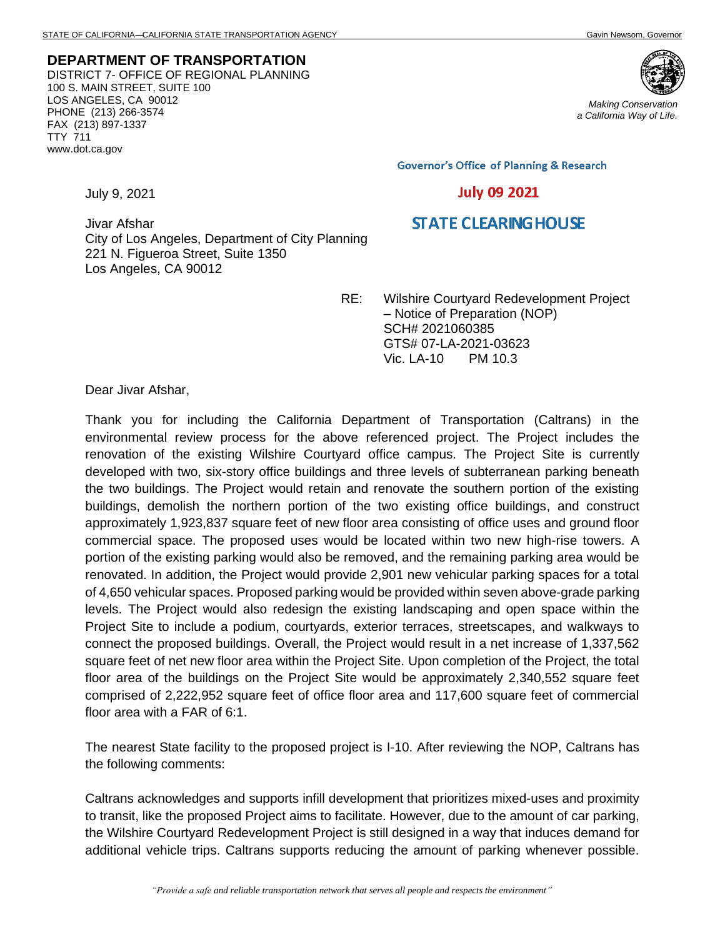**DEPARTMENT OF TRANSPORTATION** DISTRICT 7- OFFICE OF REGIONAL PLANNING 100 S. MAIN STREET, SUITE 100 LOS ANGELES, CA 90012 PHONE (213) 266-3574 FAX (213) 897-1337 TTY 711 www.dot.ca.gov



*Making Conservation a California Way of Life.*

**Governor's Office of Planning & Research** 

## **July 09 2021**

## **STATE CLEARING HOUSE**

Jivar Afshar City of Los Angeles, Department of City Planning 221 N. Figueroa Street, Suite 1350 Los Angeles, CA 90012

> RE: Wilshire Courtyard Redevelopment Project – Notice of Preparation (NOP) SCH# 2021060385 GTS# 07-LA-2021-03623 Vic. LA-10 PM 10.3

Dear Jivar Afshar,

July 9, 2021

Thank you for including the California Department of Transportation (Caltrans) in the environmental review process for the above referenced project. The Project includes the renovation of the existing Wilshire Courtyard office campus. The Project Site is currently developed with two, six-story office buildings and three levels of subterranean parking beneath the two buildings. The Project would retain and renovate the southern portion of the existing buildings, demolish the northern portion of the two existing office buildings, and construct approximately 1,923,837 square feet of new floor area consisting of office uses and ground floor commercial space. The proposed uses would be located within two new high-rise towers. A portion of the existing parking would also be removed, and the remaining parking area would be renovated. In addition, the Project would provide 2,901 new vehicular parking spaces for a total of 4,650 vehicular spaces. Proposed parking would be provided within seven above-grade parking levels. The Project would also redesign the existing landscaping and open space within the Project Site to include a podium, courtyards, exterior terraces, streetscapes, and walkways to connect the proposed buildings. Overall, the Project would result in a net increase of 1,337,562 square feet of net new floor area within the Project Site. Upon completion of the Project, the total floor area of the buildings on the Project Site would be approximately 2,340,552 square feet comprised of 2,222,952 square feet of office floor area and 117,600 square feet of commercial floor area with a FAR of 6:1.

The nearest State facility to the proposed project is I-10. After reviewing the NOP, Caltrans has the following comments:

Caltrans acknowledges and supports infill development that prioritizes mixed-uses and proximity to transit, like the proposed Project aims to facilitate. However, due to the amount of car parking, the Wilshire Courtyard Redevelopment Project is still designed in a way that induces demand for additional vehicle trips. Caltrans supports reducing the amount of parking whenever possible.